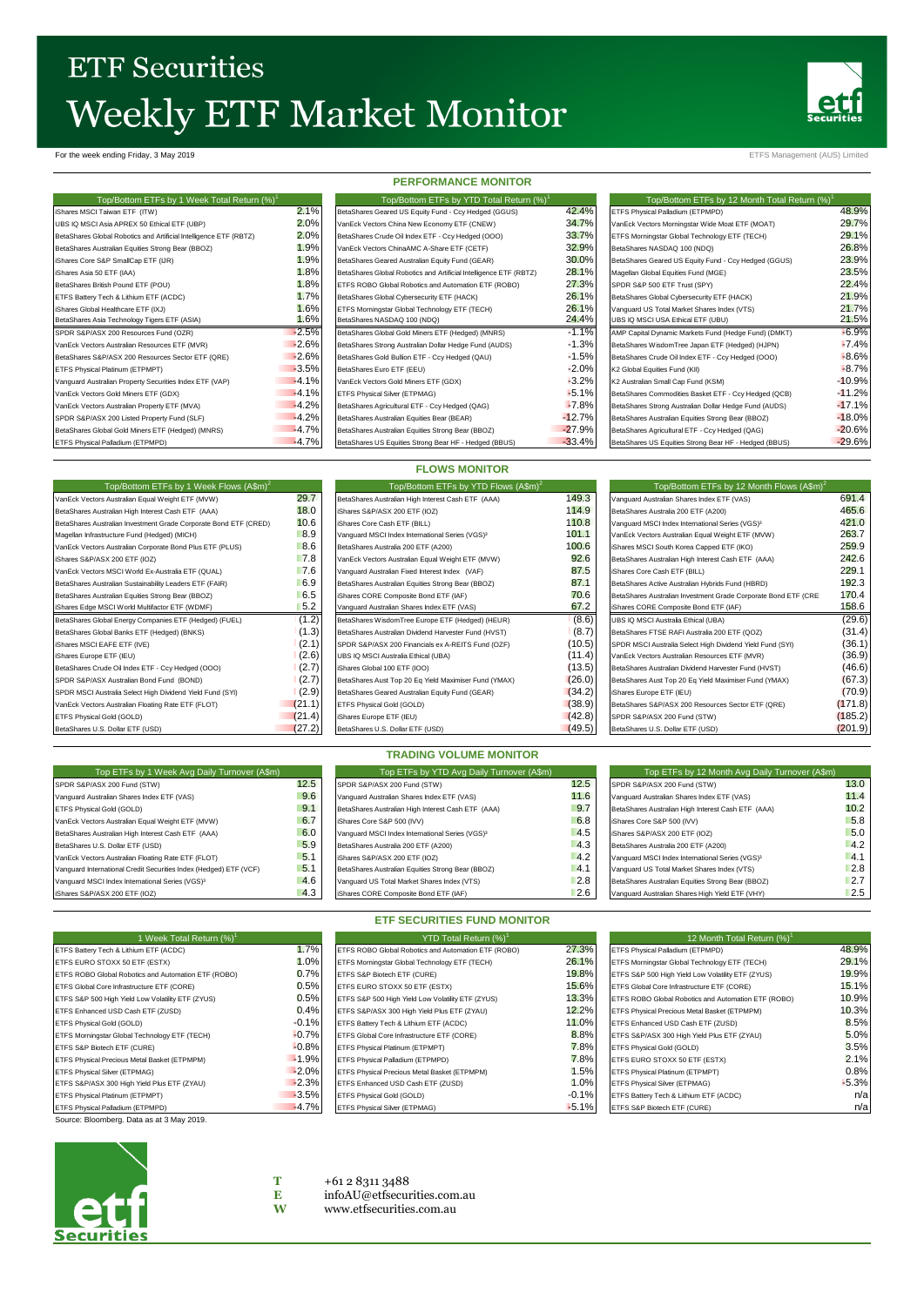## **ETF Securities** Weekly ETF Market Monitor



For the week ending Friday, 3 May 2019 **ETFS Management (AUS)** Limited

| Top/Bottom ETFs by 1 Week Total Return (%) <sup>1</sup>           |         |
|-------------------------------------------------------------------|---------|
| iShares MSCI Taiwan ETF (ITW)                                     | 2.1%    |
| UBS IQ MSCI Asia APREX 50 Ethical ETF (UBP)                       | 2.0%    |
| BetaShares Global Robotics and Artificial Intelligence ETF (RBTZ) | 2.0%    |
| BetaShares Australian Equities Strong Bear (BBOZ)                 | 1.9%    |
| iShares Core S&P SmallCap ETF (IJR)                               | 1.9%    |
| iShares Asia 50 ETF (IAA)                                         | 1.8%    |
| BetaShares British Pound ETF (POU)                                | 1.8%    |
| ETFS Battery Tech & Lithium ETF (ACDC)                            | 1.7%    |
| iShares Global Healthcare ETF (IXJ)                               | 1.6%    |
| BetaShares Asia Technology Tigers ETF (ASIA)                      | 1.6%    |
| SPDR S&P/ASX 200 Resources Fund (OZR)                             | $-2.5%$ |
| VanEck Vectors Australian Resources ETF (MVR)                     | $-2.6%$ |
| BetaShares S&P/ASX 200 Resources Sector ETF (QRE)                 | $-2.6%$ |
| ETFS Physical Platinum (ETPMPT)                                   | $-3.5%$ |
| Vanguard Australian Property Securities Index ETF (VAP)           | $-4.1%$ |
| VanEck Vectors Gold Miners ETF (GDX)                              | $-4.1%$ |
| VanEck Vectors Australian Property ETF (MVA)                      | $-4.2%$ |
| SPDR S&P/ASX 200 Listed Property Fund (SLF)                       | $-4.2%$ |
| BetaShares Global Gold Miners ETF (Hedged) (MNRS)                 | $-4.7%$ |
| ETFS Physical Palladium (ETPMPD)                                  | $-4.7%$ |

| ------------------                                                |          |
|-------------------------------------------------------------------|----------|
| Top/Bottom ETFs by YTD Total Return (%) <sup>1</sup>              |          |
| BetaShares Geared US Equity Fund - Ccy Hedged (GGUS)              | 42.4'    |
| VanEck Vectors China New Economy ETF (CNEW)                       | 34.7'    |
| BetaShares Crude Oil Index ETF - Ccy Hedged (OOO)                 | 33.7'    |
| VanEck Vectors ChinaAMC A-Share ETF (CETF)                        | 32.9'    |
| BetaShares Geared Australian Equity Fund (GEAR)                   | 30.0     |
| BetaShares Global Robotics and Artificial Intelligence ETF (RBTZ) | 28.1'    |
| ETFS ROBO Global Robotics and Automation ETF (ROBO)               | 27.3'    |
| BetaShares Global Cybersecurity ETF (HACK)                        | 26.1'    |
| ETFS Morningstar Global Technology ETF (TECH)                     | 26.1'    |
| BetaShares NASDAQ 100 (NDQ)                                       | 24.4     |
| BetaShares Global Gold Miners ETF (Hedged) (MNRS)                 | $+1.1'$  |
| BetaShares Strong Australian Dollar Hedge Fund (AUDS)             | $+1.3'$  |
| BetaShares Gold Bullion ETF - Ccy Hedged (QAU)                    | $+1.5$   |
| BetaShares Euro ETF (EEU)                                         | $-2.0$   |
| VanEck Vectors Gold Miners ETF (GDX)                              | $-3.2$   |
| ETFS Physical Silver (ETPMAG)                                     | $-5.1$   |
| BetaShares Agricultural ETF - Ccy Hedged (QAG)                    | $-7.8$   |
| BetaShares Australian Equities Bear (BEAR)                        | $-12.7$  |
| BetaShares Australian Equities Strong Bear (BBOZ)                 | $-27.9'$ |
| RetaShares LIS Equities Strong Rear HE - Hedged (RRUS)            | $-33.4'$ |

**PERFORMANCE MONITOR**

| <b>FERFURMANGE MUNITUR</b>                                        |         |                                                                   |          |                                                           |          |  |
|-------------------------------------------------------------------|---------|-------------------------------------------------------------------|----------|-----------------------------------------------------------|----------|--|
| Top/Bottom ETFs by 1 Week Total Return (%) <sup>1</sup>           |         | Top/Bottom ETFs by YTD Total Return (%) <sup>1</sup>              |          | Top/Bottom ETFs by 12 Month Total Return (%) <sup>1</sup> |          |  |
| iShares MSCI Taiwan ETF (ITW)                                     | 2.1%    | BetaShares Geared US Equity Fund - Ccy Hedged (GGUS)              | 42.4%    | ETFS Physical Palladium (ETPMPD)                          | 48.9%    |  |
| UBS IQ MSCI Asia APREX 50 Ethical ETF (UBP)                       | 2.0%    | VanEck Vectors China New Economy ETF (CNEW)                       | 34.7%    | VanEck Vectors Morningstar Wide Moat ETF (MOAT)           | 29.7%    |  |
| BetaShares Global Robotics and Artificial Intelligence ETF (RBTZ) | 2.0%    | BetaShares Crude Oil Index ETF - Ccy Hedged (OOO)                 | 33.7%    | ETFS Morningstar Global Technology ETF (TECH)             | 29.1%    |  |
| BetaShares Australian Equities Strong Bear (BBOZ)                 | 1.9%    | VanEck Vectors ChinaAMC A-Share ETF (CETF)                        | 32.9%    | BetaShares NASDAQ 100 (NDQ)                               | 26.8%    |  |
| iShares Core S&P SmallCap ETF (IJR)                               | 1.9%    | BetaShares Geared Australian Equity Fund (GEAR)                   | 30.0%    | BetaShares Geared US Equity Fund - Ccy Hedged (GGUS)      | 23.9%    |  |
| iShares Asia 50 ETF (IAA)                                         | 1.8%    | BetaShares Global Robotics and Artificial Intelligence ETF (RBTZ) | 28.1%    | Magellan Global Equities Fund (MGE)                       | 23.5%    |  |
| BetaShares British Pound ETF (POU)                                | 1.8%    | ETFS ROBO Global Robotics and Automation ETF (ROBO)               | 27.3%    | SPDR S&P 500 ETF Trust (SPY)                              | 22.4%    |  |
| ETFS Battery Tech & Lithium ETF (ACDC)                            | 1.7%    | BetaShares Global Cybersecurity ETF (HACK)                        | 26.1%    | BetaShares Global Cybersecurity ETF (HACK)                | 21.9%    |  |
| iShares Global Healthcare ETF (IXJ)                               | 1.6%    | ETFS Morningstar Global Technology ETF (TECH)                     | 26.1%    | Vanguard US Total Market Shares Index (VTS)               | 21.7%    |  |
| BetaShares Asia Technology Tigers ETF (ASIA)                      | 1.6%    | BetaShares NASDAQ 100 (NDQ)                                       | 24.4%    | UBS IQ MSCI USA Ethical ETF (UBU)                         | 21.5%    |  |
| SPDR S&P/ASX 200 Resources Fund (OZR)                             | $-2.5%$ | BetaShares Global Gold Miners ETF (Hedged) (MNRS)                 | $-1.1%$  | AMP Capital Dynamic Markets Fund (Hedge Fund) (DMKT)      | $-6.9%$  |  |
| VanEck Vectors Australian Resources ETF (MVR)                     | $-2.6%$ | BetaShares Strong Australian Dollar Hedge Fund (AUDS)             | $-1.3%$  | BetaShares WisdomTree Japan ETF (Hedged) (HJPN)           | $-7.4%$  |  |
| BetaShares S&P/ASX 200 Resources Sector ETF (QRE)                 | $-2.6%$ | BetaShares Gold Bullion ETF - Ccy Hedged (QAU)                    | $+1.5%$  | BetaShares Crude Oil Index ETF - Ccy Hedged (OOO)         | $-8.6%$  |  |
| ETFS Physical Platinum (ETPMPT)                                   | $-3.5%$ | BetaShares Euro ETF (EEU)                                         | $-2.0%$  | K2 Global Equities Fund (KII)                             | $-8.7%$  |  |
| Vanguard Australian Property Securities Index ETF (VAP)           | $-4.1%$ | VanEck Vectors Gold Miners ETF (GDX)                              | $-3.2%$  | K2 Australian Small Cap Fund (KSM)                        | $-10.9%$ |  |
| VanEck Vectors Gold Miners ETF (GDX)                              | $-4.1%$ | ETFS Physical Silver (ETPMAG)                                     | $-5.1%$  | BetaShares Commodities Basket ETF - Ccy Hedged (QCB)      | $-11.2%$ |  |
| VanEck Vectors Australian Property ETF (MVA)                      | $-4.2%$ | BetaShares Agricultural ETF - Ccy Hedged (QAG)                    | $-7.8%$  | BetaShares Strong Australian Dollar Hedge Fund (AUDS)     | $-17.1%$ |  |
| SPDR S&P/ASX 200 Listed Property Fund (SLF)                       | $-4.2%$ | BetaShares Australian Equities Bear (BEAR)                        | $-12.7%$ | BetaShares Australian Equities Strong Bear (BBOZ)         | $-18.0%$ |  |
| BetaShares Global Gold Miners ETF (Hedged) (MNRS)                 | $-4.7%$ | BetaShares Australian Equities Strong Bear (BBOZ)                 | $-27.9%$ | BetaShares Agricultural ETF - Ccy Hedged (QAG)            | $-20.6%$ |  |
| ETFS Physical Palladium (ETPMPD)                                  | $-4.7%$ | BetaShares US Equities Strong Bear HF - Hedged (BBUS)             | $-33.4%$ | BetaShares US Equities Strong Bear HF - Hedged (BBUS)     | $-29.6%$ |  |

### **FLOWS MONITOR**

| Top/Bottom ETFs by 1 Week Flows (A\$m) <sup>2</sup>              |        | Top/Bottom ETFs by YTD Flows (A\$m) <sup>2</sup>            |        | Top/Bottom ETFs by 12 Month Flows (A\$m) <sup>2</sup>          |         |  |
|------------------------------------------------------------------|--------|-------------------------------------------------------------|--------|----------------------------------------------------------------|---------|--|
| VanEck Vectors Australian Equal Weight ETF (MVW)                 | 29.7   | BetaShares Australian High Interest Cash ETF (AAA)          | 149.3  | Vanguard Australian Shares Index ETF (VAS)                     | 691.4   |  |
| BetaShares Australian High Interest Cash ETF (AAA)               | 18.0   | iShares S&P/ASX 200 ETF (IOZ)                               | 114.9  | BetaShares Australia 200 ETF (A200)                            | 465.6   |  |
| BetaShares Australian Investment Grade Corporate Bond ETF (CRED) | 10.6   | iShares Core Cash ETF (BILL)                                | 110.8  | Vanguard MSCI Index International Series (VGS) <sup>3</sup>    | 421.0   |  |
| Magellan Infrastructure Fund (Hedged) (MICH)                     | 8.9    | Vanguard MSCI Index International Series (VGS) <sup>3</sup> | 101.1  | VanEck Vectors Australian Equal Weight ETF (MVW)               | 263.7   |  |
| VanEck Vectors Australian Corporate Bond Plus ETF (PLUS)         | 8.6    | BetaShares Australia 200 ETF (A200)                         | 100.6  | iShares MSCI South Korea Capped ETF (IKO)                      | 259.9   |  |
| iShares S&P/ASX 200 ETF (IOZ)                                    | 7.8    | VanEck Vectors Australian Equal Weight ETF (MVW)            | 92.6   | BetaShares Australian High Interest Cash ETF (AAA)             | 242.6   |  |
| VanEck Vectors MSCI World Ex-Australia ETF (QUAL)                | 7.6    | Vanguard Australian Fixed Interest Index (VAF)              | 87.5   | iShares Core Cash ETF (BILL)                                   | 229.1   |  |
| BetaShares Australian Sustainability Leaders ETF (FAIR)          | 6.9    | BetaShares Australian Equities Strong Bear (BBOZ)           | 87.1   | BetaShares Active Australian Hybrids Fund (HBRD)               | 192.3   |  |
| BetaShares Australian Equities Strong Bear (BBOZ)                | 6.5    | iShares CORE Composite Bond ETF (IAF)                       | 70.6   | BetaShares Australian Investment Grade Corporate Bond ETF (CRE | 170.4   |  |
| iShares Edge MSCI World Multifactor ETF (WDMF)                   | 5.2    | Vanguard Australian Shares Index ETF (VAS)                  | 67.2   | iShares CORE Composite Bond ETF (IAF)                          | 158.6   |  |
| BetaShares Global Energy Companies ETF (Hedged) (FUEL)           | (1.2)  | BetaShares WisdomTree Europe ETF (Hedged) (HEUR)            | (8.6)  | UBS IQ MSCI Australia Ethical (UBA)                            | (29.6)  |  |
| BetaShares Global Banks ETF (Hedged) (BNKS)                      | (1.3)  | BetaShares Australian Dividend Harvester Fund (HVST)        | (8.7)  | BetaShares FTSE RAFI Australia 200 ETF (QOZ)                   | (31.4)  |  |
| iShares MSCI EAFE ETF (IVE)                                      | (2.1)  | SPDR S&P/ASX 200 Financials ex A-REITS Fund (OZF)           | (10.5) | SPDR MSCI Australia Select High Dividend Yield Fund (SYI)      | (36.1)  |  |
| iShares Europe ETF (IEU)                                         | (2.6)  | UBS IQ MSCI Australia Ethical (UBA)                         | (11.4) | VanEck Vectors Australian Resources ETF (MVR)                  | (36.9)  |  |
| BetaShares Crude Oil Index ETF - Ccy Hedged (OOO)                | (2.7)  | iShares Global 100 ETF (IOO)                                | (13.5) | BetaShares Australian Dividend Harvester Fund (HVST)           | (46.6)  |  |
| SPDR S&P/ASX Australian Bond Fund (BOND)                         | (2.7)  | BetaShares Aust Top 20 Eq Yield Maximiser Fund (YMAX)       | (26.0) | BetaShares Aust Top 20 Eq Yield Maximiser Fund (YMAX)          | (67.3)  |  |
| SPDR MSCI Australia Select High Dividend Yield Fund (SYI)        | (2.9)  | BetaShares Geared Australian Equity Fund (GEAR)             | (34.2) | iShares Europe ETF (IEU)                                       | (70.9)  |  |
| VanEck Vectors Australian Floating Rate ETF (FLOT)               | (21.1) | ETFS Physical Gold (GOLD)                                   | (38.9) | BetaShares S&P/ASX 200 Resources Sector ETF (QRE)              | (171.8) |  |
| ETFS Physical Gold (GOLD)                                        | (21.4) | iShares Europe ETF (IEU)                                    | (42.8) | SPDR S&P/ASX 200 Fund (STW)                                    | (185.2) |  |
| BetaShares U.S. Dollar ETF (USD)                                 | (27.2) | BetaShares U.S. Dollar ETF (USD)                            | (49.5) | BetaShares U.S. Dollar ETF (USD)                               | (201.9) |  |

| Top ETFs by 1 Week Avg Daily Turnover (A\$m)                      |      | Top ETFs by YTD Avg Daily Turnover (A\$m)                   |      | Top ETFs by 12 Month Avg Daily Turnover (A\$m)              |      |
|-------------------------------------------------------------------|------|-------------------------------------------------------------|------|-------------------------------------------------------------|------|
| SPDR S&P/ASX 200 Fund (STW)                                       | 12.5 | SPDR S&P/ASX 200 Fund (STW)                                 | 12.5 | SPDR S&P/ASX 200 Fund (STW)                                 | 13.0 |
| Vanguard Australian Shares Index ETF (VAS)                        | 9.6  | Vanguard Australian Shares Index ETF (VAS)                  | 11.6 | Vanguard Australian Shares Index ETF (VAS)                  | 11.4 |
| ETFS Physical Gold (GOLD)                                         | 9.1  | BetaShares Australian High Interest Cash ETF (AAA)          | 9.7  | BetaShares Australian High Interest Cash ETF (AAA)          | 10.2 |
| VanEck Vectors Australian Equal Weight ETF (MVW)                  | 6.7  | iShares Core S&P 500 (IVV)                                  | 6.8  | iShares Core S&P 500 (IVV)                                  | 5.8  |
| BetaShares Australian High Interest Cash ETF (AAA)                | 6.0  | Vanguard MSCI Index International Series (VGS) <sup>3</sup> | 4.5  | iShares S&P/ASX 200 ETF (IOZ)                               | 5.0  |
| BetaShares U.S. Dollar ETF (USD)                                  | 5.9  | BetaShares Australia 200 ETF (A200)                         | 4.3  | BetaShares Australia 200 ETF (A200)                         | 4.2  |
| VanEck Vectors Australian Floating Rate ETF (FLOT)                | 5.1  | iShares S&P/ASX 200 ETF (IOZ)                               | 4.2  | Vanguard MSCI Index International Series (VGS) <sup>3</sup> | 4.1  |
| Vanguard International Credit Securities Index (Hedged) ETF (VCF) | 5.1  | BetaShares Australian Equities Strong Bear (BBOZ)           | 4.1  | Vanguard US Total Market Shares Index (VTS)                 | 2.8  |
| Vanguard MSCI Index International Series (VGS) <sup>3</sup>       | 4.6  | Vanguard US Total Market Shares Index (VTS)                 | 2.8  | BetaShares Australian Equities Strong Bear (BBOZ)           | 2.7  |
| iShares S&P/ASX 200 ETF (IOZ)                                     | 4.3  | iShares CORE Composite Bond ETF (IAF)                       | 2.6  | Vanguard Australian Shares High Yield ETF (VHY)             | 2.5  |

**ETF SECURITIES FUND MONITOR** 1 YTD Total Return (%)<sup>1</sup>

**TRADING VOLUME MONITOR**

| 1 Week Total Return (%)                             |         |
|-----------------------------------------------------|---------|
| ETFS Battery Tech & Lithium ETF (ACDC)              | 1.7%    |
| ETFS EURO STOXX 50 ETF (ESTX)                       | 1.0%    |
| ETFS ROBO Global Robotics and Automation ETF (ROBO) | 0.7%    |
| ETFS Global Core Infrastructure ETF (CORE)          | 0.5%    |
| ETFS S&P 500 High Yield Low Volatility ETF (ZYUS)   | 0.5%    |
| ETFS Enhanced USD Cash ETF (ZUSD)                   | 0.4%    |
| ETFS Physical Gold (GOLD)                           | $-0.1%$ |
| ETFS Morningstar Global Technology ETF (TECH)       | $-0.7%$ |
| ETFS S&P Biotech ETF (CURE)                         | $-0.8%$ |
| ETFS Physical Precious Metal Basket (ETPMPM)        | $-1.9%$ |
| ETFS Physical Silver (ETPMAG)                       | $-2.0%$ |
| ETFS S&P/ASX 300 High Yield Plus ETF (ZYAU)         | $-2.3%$ |
| ETFS Physical Platinum (ETPMPT)                     | $-3.5%$ |
| ETFS Physical Palladium (ETPMPD)                    | $-4.7%$ |

Source: Bloomberg. Data as at 3 May 2019.



**T** +61 2 8311 3488 **E** [infoAU@etfsecurities.com.au](mailto:infoAU@etfsecurities.com.au)

ETFS Battery Tech & Lithium ETF (ACDC)

FTFS Enhanced USD Cash ETF (ZUSD)

**W** [www.etfsecurities.com.au](http://www.etfsecurities.com.au/)

ETFS ROBO Global Robotics and Automation ETF (ROBO)  $27.3\%$  ETFS Physical Palladium (ETPMPD) 48.9% **48.9%** ETFS Normingstar Global Technology ETF (TECH) 29.1% ETFS Morningstar Global Technology ETF (TECH) 28.1% **26.1% ETFS Morningstar Global Technology ETF (TECH)** 29.1% ETFS SAP BOOT 20.1% ETFS SAP 500 High Yield Low Volatility ETF (ZYUS) 29.9% **19.9%** ETFS S&P 500 High Yield Low Volatility ETF (ZYUS) ETFS EURO STOXX 50 ETF (ESTX) [15.1% ETF (CORE) ETFS Global Core Infrastructure ETF (CORE) [15.1% 15.1% ETFS SAPSON STORE) [15.1% ETFS Global Core Infrastructure ETF (CORE) [15.1% 10.9% ETFS SAPSON STORE) [15.9% ETFS ROBO **ETFS S&P 500 High Yield Low Volatility ETF (ZYUS)** 13.3% ETFS ROBO Global Robotics and Automation ETF (ROBO) 10.9%<br>
ETFS S&P/ASX 300 High Yield Plus ETF (ZYAU) 10.3% 12.2% ETFS Physical Precious Metal Basket (ETPMPM) 10.3 ETFS S&P/ASX 300 High Yield Plus ETF (ZYAU) 10.3% **12.2%** ETFS Physical Precious Metal Basket (ETPMPM) 10.3% 10.3% ETFS Enhanced USD Cash ETF (ZUSD) 8.5% 8.5% ETFS Global Core Infrastructure ETF (CORE)  $\begin{array}{|l|l|}\n 0.8\% & \text{ETFS SAP/ASX 300 High Yield Plus ETF (ZYAU)\n\end{array}\n\begin{array}{|l|l|}\n 3.5\% & \text{ETFS SAP/ASX 300 High Yield Plus ETF (ZYAU)\n\end{array}\n\begin{array}{|l|l|}\n 3.5\% & \text{ETFS SAP/ASX 300 High Field Cloud (GOL) and (GOL) and (GOL) and (GOL) and (GOL) and (GOL) and (GOL) and (GOL)$ ETFS Physical Platinum (ETPMPT) -0.8% ETFS Physical Gold (GOLD) -0.8% ETFS Physical Gold (GOLD) 3.5% ETFS Physical Gold (GOLD) 3.5% Physical Platinum (ETPMPD) -0.1% Physical Platinum (ETPMPD) -0.1% Physical Platinum (ETPMP T. 8% ETFS EURO STOXX 50 ETF (ESTX) -1.9% ETFS Physical Palinum (ETPMPT) 7.1% PMPM 2.1% ETFS Physical Palinum (ETPMPT) 2.1% PMPM 2.1% ETF Physical Palinum (ETPMPT) 3.8% PMPM 2.1% ETER Physical Palinum (ETPMPT) 3.8% PMPM 2. ETFS Physical Precious Metal Basket (ETPMPM)  $\begin{array}{c|c} 1.5\% \\ 1.0\% \end{array}$  ETFS Physical Platinum (ETPMPT)  $\begin{array}{c} 0.8\% \\ 1.0\% \end{array}$ ETPMPD ETFS Physical Platinum (ETPMPT) -3.5% ETFS Physical Gold (GOLD) -0.1% ETFS Battery Tech & Lithium ETF (ACDC) n/a ETFS Physical Silver (ETPMAG) -4.7% ETFS S&P Biotech ETF (CURE) -5.1% ETFS S&P Biotech ETF (CURE) 12 Month Total Return (%)<sup>1</sup>